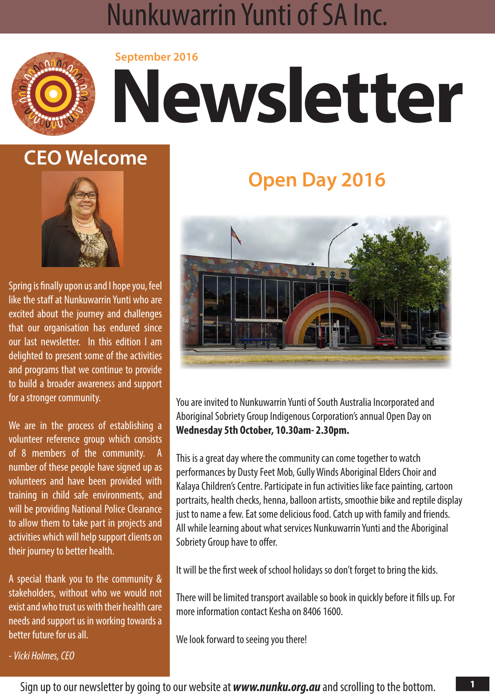## **NUNKUWARRIN YUNTI OF SA INC. September 2016 Newsletter** Nunkuwarrin Yunti of SA Inc.



## **CEO Welcome**



Spring is finally upon us and I hope you, feel like the staff at Nunkuwarrin Yunti who are excited about the journey and challenges that our organisation has endured since our last newsletter. In this edition I am delighted to present some of the activities and programs that we continue to provide to build a broader awareness and support for a stronger community.

We are in the process of establishing a volunteer reference group which consists of 8 members of the community. A number of these people have signed up as volunteers and have been provided with training in child safe environments, and will be providing National Police Clearance to allow them to take part in projects and activities which will help support clients on their journey to better health.

A special thank you to the community & stakeholders, without who we would not exist and who trust us with their health care needs and support us in working towards a better future for us all.

*- Vicki Holmes, CEO*

# **Open Day 2016**



You are invited to Nunkuwarrin Yunti of South Australia Incorporated and Aboriginal Sobriety Group Indigenous Corporation's annual Open Day on **Wednesday 5th October, 10.30am- 2.30pm.**

This is a great day where the community can come together to watch performances by Dusty Feet Mob, Gully Winds Aboriginal Elders Choir and Kalaya Children's Centre. Participate in fun activities like face painting, cartoon portraits, health checks, henna, balloon artists, smoothie bike and reptile display just to name a few. Eat some delicious food. Catch up with family and friends. All while learning about what services Nunkuwarrin Yunti and the Aboriginal Sobriety Group have to offer.

It will be the first week of school holidays so don't forget to bring the kids.

There will be limited transport available so book in quickly before it fills up. For more information contact Kesha on 8406 1600.

We look forward to seeing you there!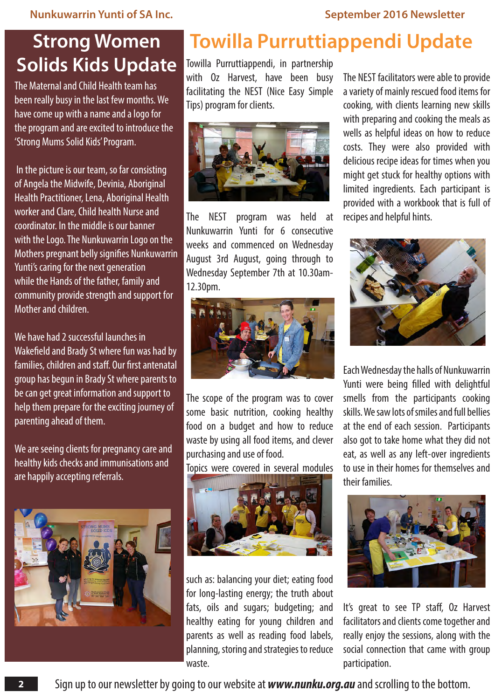## **Strong Women Solids Kids Update**

The Maternal and Child Health team has been really busy in the last few months. We have come up with a name and a logo for the program and are excited to introduce the 'Strong Mums Solid Kids' Program.

 In the picture is our team, so far consisting of Angela the Midwife, Devinia, Aboriginal Health Practitioner, Lena, Aboriginal Health worker and Clare, Child health Nurse and coordinator. In the middle is our banner with the Logo. The Nunkuwarrin Logo on the Mothers pregnant belly signifies Nunkuwarrin Yunti's caring for the next generation while the Hands of the father, family and community provide strength and support for Mother and children.

We have had 2 successful launches in Wakefield and Brady St where fun was had by families, children and staff. Our first antenatal group has begun in Brady St where parents to be can get great information and support to help them prepare for the exciting journey of parenting ahead of them.

We are seeing clients for pregnancy care and healthy kids checks and immunisations and are happily accepting referrals.



# **Towilla Purruttiappendi Update**

Towilla Purruttiappendi, in partnership with Oz Harvest, have been busy facilitating the NEST (Nice Easy Simple Tips) program for clients.



The NEST program was held at Nunkuwarrin Yunti for 6 consecutive weeks and commenced on Wednesday August 3rd August, going through to Wednesday September 7th at 10.30am-12.30pm.



The scope of the program was to cover some basic nutrition, cooking healthy food on a budget and how to reduce waste by using all food items, and clever purchasing and use of food.

Topics were covered in several modules



such as: balancing your diet; eating food for long-lasting energy; the truth about fats, oils and sugars; budgeting; and healthy eating for young children and parents as well as reading food labels, planning, storing and strategies to reduce waste.

The NEST facilitators were able to provide a variety of mainly rescued food items for cooking, with clients learning new skills with preparing and cooking the meals as wells as helpful ideas on how to reduce costs. They were also provided with delicious recipe ideas for times when you might get stuck for healthy options with limited ingredients. Each participant is provided with a workbook that is full of recipes and helpful hints.



Each Wednesday the halls of Nunkuwarrin Yunti were being filled with delightful smells from the participants cooking skills. We saw lots of smiles and full bellies at the end of each session. Participants also got to take home what they did not eat, as well as any left-over ingredients to use in their homes for themselves and their families.



It's great to see TP staff, Oz Harvest facilitators and clients come together and really enjoy the sessions, along with the social connection that came with group participation.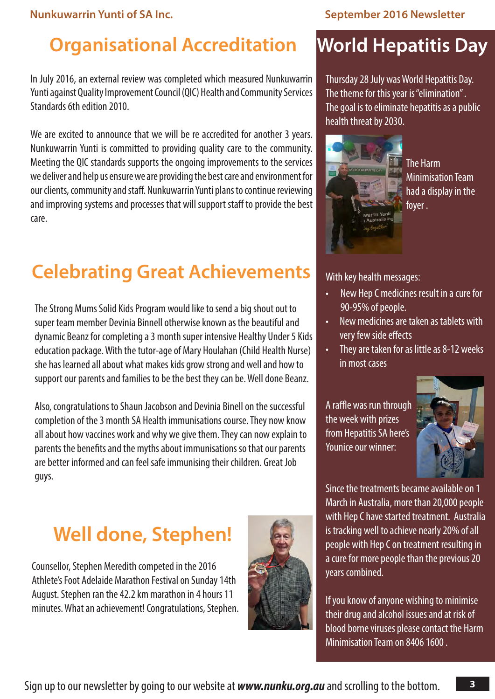# **Organisational Accreditation World Hepatitis Day**

In July 2016, an external review was completed which measured Nunkuwarrin Yunti against Quality Improvement Council (QIC) Health and Community Services Standards 6th edition 2010.

We are excited to announce that we will be re accredited for another 3 years. Nunkuwarrin Yunti is committed to providing quality care to the community. Meeting the QIC standards supports the ongoing improvements to the services we deliver and help us ensure we are providing the best care and environment for our clients, community and staff. Nunkuwarrin Yunti plans to continue reviewing and improving systems and processes that will support staff to provide the best care.

# **Celebrating Great Achievements**

The Strong Mums Solid Kids Program would like to send a big shout out to super team member Devinia Binnell otherwise known as the beautiful and dynamic Beanz for completing a 3 month super intensive Healthy Under 5 Kids education package. With the tutor-age of Mary Houlahan (Child Health Nurse) she has learned all about what makes kids grow strong and well and how to support our parents and families to be the best they can be. Well done Beanz.

Also, congratulations to Shaun Jacobson and Devinia Binell on the successful completion of the 3 month SA Health immunisations course. They now know all about how vaccines work and why we give them. They can now explain to parents the benefits and the myths about immunisations so that our parents are better informed and can feel safe immunising their children. Great Job guys.

# **Well done, Stephen!**

Counsellor, Stephen Meredith competed in the 2016 Athlete's Foot Adelaide Marathon Festival on Sunday 14th August. Stephen ran the 42.2 km marathon in 4 hours 11 minutes. What an achievement! Congratulations, Stephen.



Thursday 28 July was World Hepatitis Day. The theme for this year is "elimination" . The goal is to eliminate hepatitis as a public health threat by 2030.



The Harm Minimisation Team had a display in the foyer .

### With key health messages:

- New Hep C medicines result in a cure for 90-95% of people.
- New medicines are taken as tablets with very few side effects
- $\cdot$  They are taken for as little as 8-12 weeks in most cases

A raffle was run through the week with prizes from Hepatitis SA here's Younice our winner:



Since the treatments became available on 1 March in Australia, more than 20,000 people with Hep C have started treatment. Australia is tracking well to achieve nearly 20% of all people with Hep C on treatment resulting in a cure for more people than the previous 20 years combined.

If you know of anyone wishing to minimise their drug and alcohol issues and at risk of blood borne viruses please contact the Harm Minimisation Team on 8406 1600 .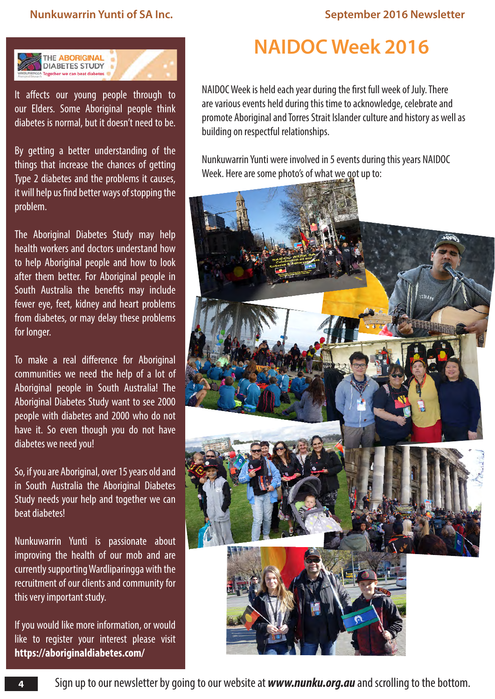

It affects our young people through to our Elders. Some Aboriginal people think diabetes is normal, but it doesn't need to be.

By getting a better understanding of the things that increase the chances of getting Type 2 diabetes and the problems it causes, it will help us find better ways of stopping the problem.

The Aboriginal Diabetes Study may help health workers and doctors understand how to help Aboriginal people and how to look after them better. For Aboriginal people in South Australia the benefits may include fewer eye, feet, kidney and heart problems from diabetes, or may delay these problems for longer.

To make a real difference for Aboriginal communities we need the help of a lot of Aboriginal people in South Australia! The Aboriginal Diabetes Study want to see 2000 people with diabetes and 2000 who do not have it. So even though you do not have diabetes we need you!

So, if you are Aboriginal, over 15 years old and in South Australia the Aboriginal Diabetes Study needs your help and together we can beat diabetes!

Nunkuwarrin Yunti is passionate about improving the health of our mob and are currently supporting Wardliparingga with the recruitment of our clients and community for this very important study.

If you would like more information, or would like to register your interest please visit **<https://aboriginaldiabetes.com/>**

## **NAIDOC Week 2016**

NAIDOC Week is held each year during the first full week of July. There are various events held during this time to acknowledge, celebrate and promote Aboriginal and Torres Strait Islander culture and history as well as building on respectful relationships.

Nunkuwarrin Yunti were involved in 5 events during this years NAIDOC Week. Here are some photo's of what we got up to:

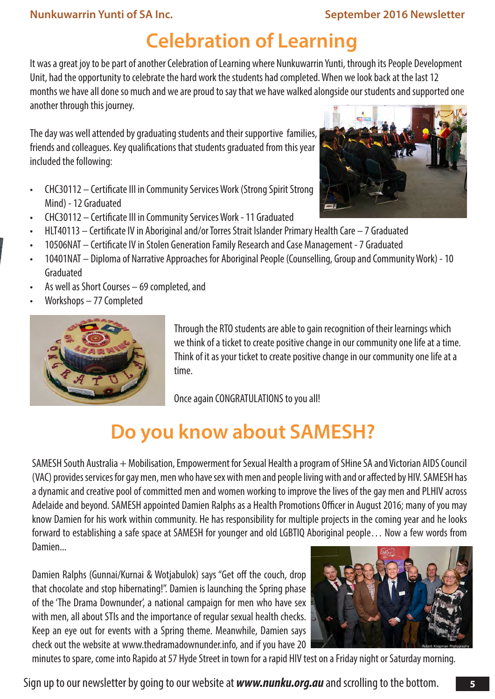# **Celebration of Learning**

It was a great joy to be part of another Celebration of Learning where Nunkuwarrin Yunti, through its People Development Unit, had the opportunity to celebrate the hard work the students had completed. When we look back at the last 12 months we have all done so much and we are proud to say that we have walked alongside our students and supported one another through this journey.

The day was well attended by graduating students and their supportive families, friends and colleagues. Key qualifications that students graduated from this year included the following:

- CHC30112 Certificate III in Community Services Work (Strong Spirit Strong Mind) - 12 Graduated
- CHC30112 Certificate III in Community Services Work 11 Graduated
- HLT40113 Certificate IV in Aboriginal and/or Torres Strait Islander Primary Health Care 7 Graduated
- 10506NAT Certificate IV in Stolen Generation Family Research and Case Management 7 Graduated
- 10401NAT Diploma of Narrative Approaches for Aboriginal People (Counselling, Group and Community Work) 10 Graduated
- As well as Short Courses  $-69$  completed, and
- Workshops 77 Completed



Through the RTO students are able to gain recognition of their learnings which we think of a ticket to create positive change in our community one life at a time. Think of it as your ticket to create positive change in our community one life at a time.

Once again CONGRATULATIONS to you all!

# **Do you know about SAMESH?**

SAMESH South Australia + Mobilisation, Empowerment for Sexual Health a program of SHine SA and Victorian AIDS Council (VAC) provides services for gay men, men who have sex with men and people living with and or affected by HIV. SAMESH has a dynamic and creative pool of committed men and women working to improve the lives of the gay men and PLHIV across Adelaide and beyond. SAMESH appointed Damien Ralphs as a Health Promotions Officer in August 2016; many of you may know Damien for his work within community. He has responsibility for multiple projects in the coming year and he looks forward to establishing a safe space at SAMESH for younger and old LGBTIQ Aboriginal people… Now a few words from Damien...

Damien Ralphs (Gunnai/Kurnai & Wotjabulok) says "Get off the couch, drop that chocolate and stop hibernating!". Damien is launching the Spring phase of the 'The Drama Downunder', a national campaign for men who have sex with men, all about STIs and the importance of regular sexual health checks. Keep an eye out for events with a Spring theme. Meanwhile, Damien says check out the website at www.thedramadownunder.info, and if you have 20



minutes to spare, come into Rapido at 57 Hyde Street in town for a rapid HIV test on a Friday night or Saturday morning.

Sign up to our newsletter by going to our website at *www.nunku.org.au* and scrolling to the bottom.

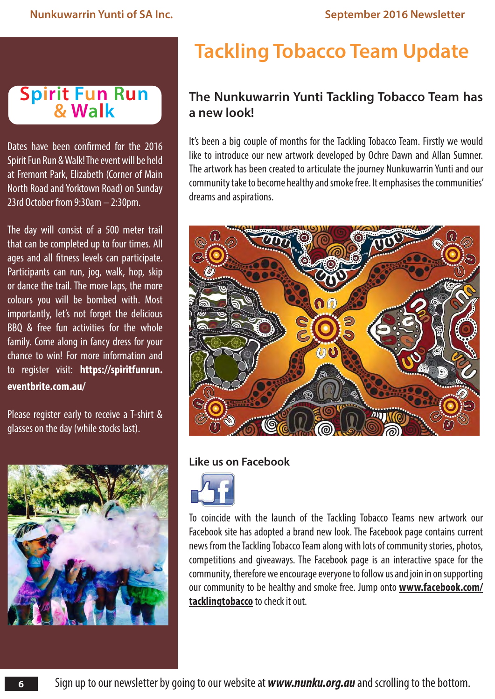## **Spirit Fun Run & Walk**

Dates have been confirmed for the 2016 Spirit Fun Run & Walk! The event will be held at Fremont Park, Elizabeth (Corner of Main North Road and Yorktown Road) on Sunday 23rd October from 9:30am – 2:30pm.

The day will consist of a 500 meter trail that can be completed up to four times. All ages and all fitness levels can participate. Participants can run, jog, walk, hop, skip or dance the trail. The more laps, the more colours you will be bombed with. Most importantly, let's not forget the delicious BBQ & free fun activities for the whole family. Come along in fancy dress for your chance to win! For more information and to register visit: **[https://spiritfunrun.](https://spiritfunrun.eventbrite.com.au/) [eventbrite.com.au/](https://spiritfunrun.eventbrite.com.au/)**

Please register early to receive a T-shirt & glasses on the day (while stocks last).



# **Tackling Tobacco Team Update**

## **The Nunkuwarrin Yunti Tackling Tobacco Team has a new look!**

It's been a big couple of months for the Tackling Tobacco Team. Firstly we would like to introduce our new artwork developed by Ochre Dawn and Allan Sumner. The artwork has been created to articulate the journey Nunkuwarrin Yunti and our community take to become healthy and smoke free. It emphasises the communities' dreams and aspirations.



## **Like us on Facebook**



To coincide with the launch of the Tackling Tobacco Teams new artwork our Facebook site has adopted a brand new look. The Facebook page contains current news from the Tackling Tobacco Team along with lots of community stories, photos, competitions and giveaways. The Facebook page is an interactive space for the community, therefore we encourage everyone to follow us and join in on supporting our community to be healthy and smoke free. Jump onto **[www.facebook.com/](www.facebook.com/tacklingtobacco) [tacklingtobacco](www.facebook.com/tacklingtobacco)** to check it out.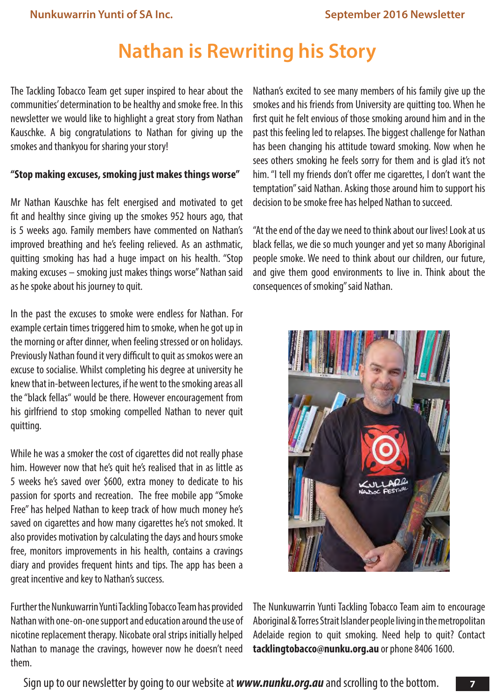# **Nathan is Rewriting his Story**

The Tackling Tobacco Team get super inspired to hear about the communities' determination to be healthy and smoke free. In this newsletter we would like to highlight a great story from Nathan Kauschke. A big congratulations to Nathan for giving up the smokes and thankyou for sharing your story!

### **"Stop making excuses, smoking just makes things worse"**

Mr Nathan Kauschke has felt energised and motivated to get fit and healthy since giving up the smokes 952 hours ago, that is 5 weeks ago. Family members have commented on Nathan's improved breathing and he's feeling relieved. As an asthmatic, quitting smoking has had a huge impact on his health. "Stop making excuses – smoking just makes things worse" Nathan said as he spoke about his journey to quit.

In the past the excuses to smoke were endless for Nathan. For example certain times triggered him to smoke, when he got up in the morning or after dinner, when feeling stressed or on holidays. Previously Nathan found it very difficult to quit as smokos were an excuse to socialise. Whilst completing his degree at university he knew that in-between lectures, if he went to the smoking areas all the "black fellas" would be there. However encouragement from his girlfriend to stop smoking compelled Nathan to never quit quitting.

While he was a smoker the cost of cigarettes did not really phase him. However now that he's quit he's realised that in as little as 5 weeks he's saved over \$600, extra money to dedicate to his passion for sports and recreation. The free mobile app "Smoke Free" has helped Nathan to keep track of how much money he's saved on cigarettes and how many cigarettes he's not smoked. It also provides motivation by calculating the days and hours smoke free, monitors improvements in his health, contains a cravings diary and provides frequent hints and tips. The app has been a great incentive and key to Nathan's success.

Further the Nunkuwarrin Yunti Tackling Tobacco Team has provided Nathan with one-on-one support and education around the use of nicotine replacement therapy. Nicobate oral strips initially helped Nathan to manage the cravings, however now he doesn't need them.

Nathan's excited to see many members of his family give up the smokes and his friends from University are quitting too. When he first quit he felt envious of those smoking around him and in the past this feeling led to relapses. The biggest challenge for Nathan has been changing his attitude toward smoking. Now when he sees others smoking he feels sorry for them and is glad it's not him. "I tell my friends don't offer me cigarettes, I don't want the temptation" said Nathan. Asking those around him to support his decision to be smoke free has helped Nathan to succeed.

"At the end of the day we need to think about our lives! Look at us black fellas, we die so much younger and yet so many Aboriginal people smoke. We need to think about our children, our future, and give them good environments to live in. Think about the consequences of smoking" said Nathan.



The Nunkuwarrin Yunti Tackling Tobacco Team aim to encourage Aboriginal & Torres Strait Islander people living in the metropolitan Adelaide region to quit smoking. Need help to quit? Contact **tacklingtobacco@nunku.org.au** or phone 8406 1600.